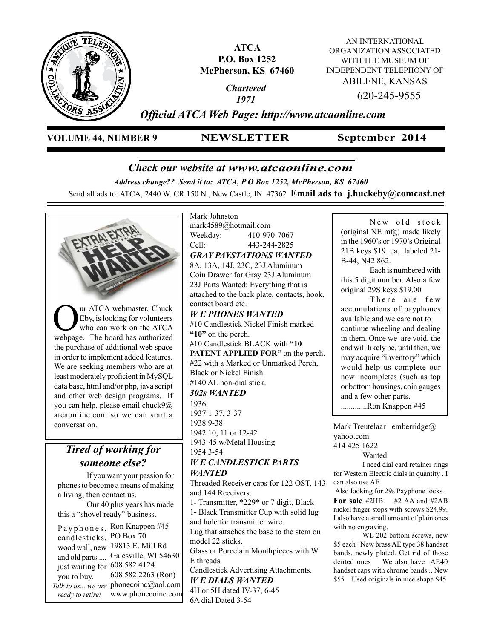

**ATCA P.O. Box 1252 McPherson, KS 67460**

> *Chartered 1971*

AN INTERNATIONAL ORGANIZATION ASSOCIATED WITH THE MUSEUM OF INDEPENDENT TELEPHONY OF ABILENE, KANSAS 620-245-9555

*Official ATCA Web Page: http://www.atcaonline.com*

**VOLUME 44, NUMBER 9 NEWSLETTER**

**September 2014**

# *Check our website at www.atcaonline.com*

*Address change?? Send it to: ATCA, P O Box 1252, McPherson, KS 67460*

Send all ads to: ATCA, 2440 W. CR 150 N., New Castle, IN 47362 **Email ads to j.huckeby@comcast.net** 



candlesticks, PO Box 70 19813 E. Mill Rd wood wall, new and old parts..... Galesville, WI 54630 608 582 4124 just waiting for 608 582 2263 (Ron) Talk to us... we are phonecoinc@aol.com www.phonecoinc.com you to buy. *ready to retire!*

Mark Johnston mark4589@hotmail.com Weekday: 410-970-7067 Cell: 443-244-2825 *GRAY PAYSTATIONS WANTED* 8A, 13A, 14J, 23C, 23J Aluminum Coin Drawer for Gray 23J Aluminum 23J Parts Wanted: Everything that is attached to the back plate, contacts, hook, contact board etc. *W E PHONES WANTED* #10 Candlestick Nickel Finish marked **"10"** on the perch. #10 Candlestick BLACK with **"10 PATENT APPLIED FOR"** on the perch. #22 with a Marked or Unmarked Perch, Black or Nickel Finish #140 AL non-dial stick. *302s WANTED* 1936 1937 1-37, 3-37 1938 9-38 1942 10, 11 or 12-42 1943-45 w/Metal Housing 1954 3-54 *W E CANDLESTICK PARTS WANTED* Threaded Receiver caps for 122 OST, 143 and 144 Receivers. 1- Transmitter, \*229\* or 7 digit, Black 1- Black Transmitter Cup with solid lug and hole for transmitter wire. Lug that attaches the base to the stem on model 22 sticks. Glass or Porcelain Mouthpieces with W E threads. Candlestick Advertising Attachments.

*W E DIALS WANTED* 4H or 5H dated IV-37, 6-45 6A dial Dated 3-54

New old stock (original NE mfg) made likely in the 1960's or 1970's Original 21B keys \$19. ea. labeled 21- B-44, N42 862.

Each is numbered with this 5 digit number. Also a few original 29S keys \$19.00

There are few accumulations of payphones available and we care not to continue wheeling and dealing in them. Once we are void, the end will likely be, until then, we may acquire "inventory" which would help us complete our now incompletes (such as top or bottom housings, coin gauges and a few other parts.

.............Ron Knappen #45

Mark Treutelaar emberridge@ yahoo.com

414 425 1622

Wanted

I need dial card retainer rings for Western Electric dials in quantity . I can also use AE

 Also looking for 29s Payphone locks . **For sale** #2HB #2 AA and #2AB nickel finger stops with screws \$24.99. I also have a small amount of plain ones with no engraving.

WE 202 bottom screws, new \$5 each New brass AE type 38 handset bands, newly plated. Get rid of those dented ones We also have AE40 handset caps with chrome bands... New \$55 Used originals in nice shape \$45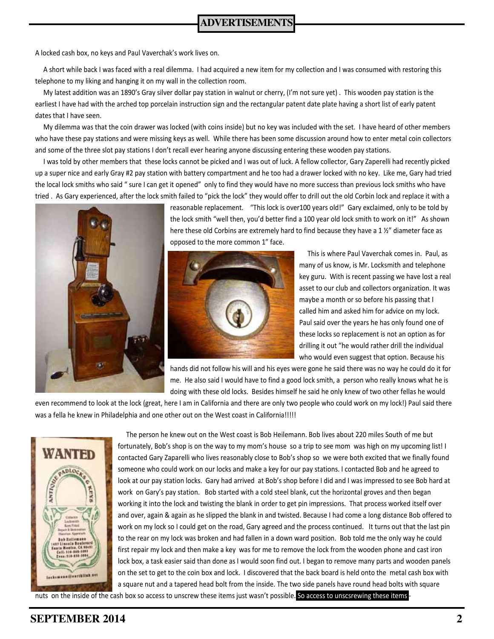A locked cash box, no keys and Paul Vaverchak's work lives on.

 A short while back I was faced with a real dilemma. I had acquired a new item for my collection and I was consumed with restoring this telephone to my liking and hanging it on my wall in the collection room.

 My latest addition was an 1890's Gray silver dollar pay station in walnut or cherry, (I'm not sure yet) . This wooden pay station is the earliest I have had with the arched top porcelain instruction sign and the rectangular patent date plate having a short list of early patent dates that I have seen.

 My dilemma was that the coin drawer was locked (with coins inside) but no key was included with the set. I have heard of other members who have these pay stations and were missing keys as well. While there has been some discussion around how to enter metal coin collectors and some of the three slot pay stations I don't recall ever hearing anyone discussing entering these wooden pay stations.

I was told by other members that these locks cannot be picked and I was out of luck. A fellow collector, Gary Zaperelli had recently picked up a super nice and early Gray #2 pay station with battery compartment and he too had a drawer locked with no key. Like me, Gary had tried the local lock smiths who said " sure I can get it opened" only to find they would have no more success than previous lock smiths who have tried . As Gary experienced, after the lock smith failed to "pick the lock" they would offer to drill out the old Corbin lock and replace it with a



reasonable replacement. "This lock is over100 years old!" Gary exclaimed, only to be told by the lock smith "well then, you'd better find a 100 year old lock smith to work on it!" As shown here these old Corbins are extremely hard to find because they have a 1 %" diameter face as opposed to the more common 1" face.



This is where Paul Vaverchak comes in. Paul, as many of us know, is Mr. Locksmith and telephone key guru. With is recent passing we have lost a real asset to our club and collectors organization. It was maybe a month or so before his passing that I called him and asked him for advice on my lock. Paul said over the years he has only found one of these locks so replacement is not an option as for drilling it out "he would rather drill the individual who would even suggest that option. Because his

hands did not follow his will and his eyes were gone he said there was no way he could do it for me. He also said I would have to find a good lock smith, a person who really knows what he is doing with these old locks. Besides himself he said he only knew of two other fellas he would

even recommend to look at the lock (great, here I am in California and there are only two people who could work on my lock!) Paul said there was a fella he knew in Philadelphia and one other out on the West coast in California!!!!!



The person he knew out on the West coast is Bob Heilemann. Bob lives about 220 miles South of me but fortunately, Bob's shop is on the way to my mom's house so a trip to see mom was high on my upcoming list! I contacted Gary Zaparelli who lives reasonably close to Bob's shop so we were both excited that we finally found someone who could work on our locks and make a key for our pay stations. I contacted Bob and he agreed to look at our pay station locks. Gary had arrived at Bob's shop before I did and I was impressed to see Bob hard at work on Gary's pay station. Bob started with a cold steel blank, cut the horizontal groves and then began working it into the lock and twisting the blank in order to get pin impressions. That process worked itself over and over, again & again as he slipped the blank in and twisted. Because I had come a long distance Bob offered to work on my lock so I could get on the road, Gary agreed and the process continued. It turns out that the last pin to the rear on my lock was broken and had fallen in a down ward position. Bob told me the only way he could first repair my lock and then make a key was for me to remove the lock from the wooden phone and cast iron lock box, a task easier said than done as I would soon find out. I began to remove many parts and wooden panels on the set to get to the coin box and lock. I discovered that the back board is held onto the metal cash box with a square nut and a tapered head bolt from the inside. The two side panels have round head bolts with square

nuts on the inside of the cash box so access to unscrew these items just wasn't possible. So access to unscsrewing these items -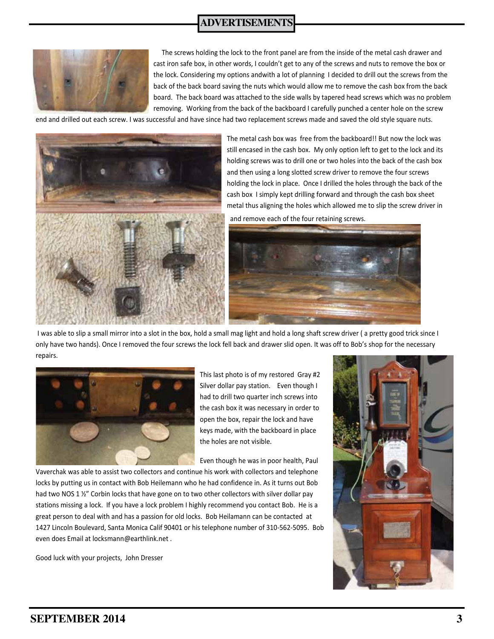### **ADVERTISEMENTS**



 The screws holding the lock to the front panel are from the inside of the metal cash drawer and cast iron safe box, in other words, I couldn't get to any of the screws and nuts to remove the box or the lock. Considering my options andwith a lot of planning I decided to drill out the screws from the back of the back board saving the nuts which would allow me to remove the cash box from the back board. The back board was attached to the side walls by tapered head screws which was no problem removing. Working from the back of the backboard I carefully punched a center hole on the screw

end and drilled out each screw. I was successful and have since had two replacement screws made and saved the old style square nuts.



The metal cash box was free from the backboard!! But now the lock was still encased in the cash box. My only option left to get to the lock and its holding screws was to drill one or two holes into the back of the cash box and then using a long slotted screw driver to remove the four screws holding the lock in place. Once I drilled the holes through the back of the cash box I simply kept drilling forward and through the cash box sheet metal thus aligning the holes which allowed me to slip the screw driver in

and remove each of the four retaining screws.



I was able to slip a small mirror into a slot in the box, hold a small mag light and hold a long shaft screw driver ( a pretty good trick since I only have two hands). Once I removed the four screws the lock fell back and drawer slid open. It was off to Bob's shop for the necessary repairs.



This last photo is of my restored Gray #2 Silver dollar pay station. Even though I had to drill two quarter inch screws into the cash box it was necessary in order to open the box, repair the lock and have keys made, with the backboard in place the holes are not visible.

Even though he was in poor health, Paul

Vaverchak was able to assist two collectors and continue his work with collectors and telephone locks by putting us in contact with Bob Heilemann who he had confidence in. As it turns out Bob had two NOS 1 1/2" Corbin locks that have gone on to two other collectors with silver dollar pay stations missing a lock. If you have a lock problem I highly recommend you contact Bob. He is a great person to deal with and has a passion for old locks. Bob Heilamann can be contacted at 1427 Lincoln Boulevard, Santa Monica Calif 90401 or his telephone number of 310-562-5095. Bob even does Email at locksmann@earthlink.net .

Good luck with your projects, John Dresser

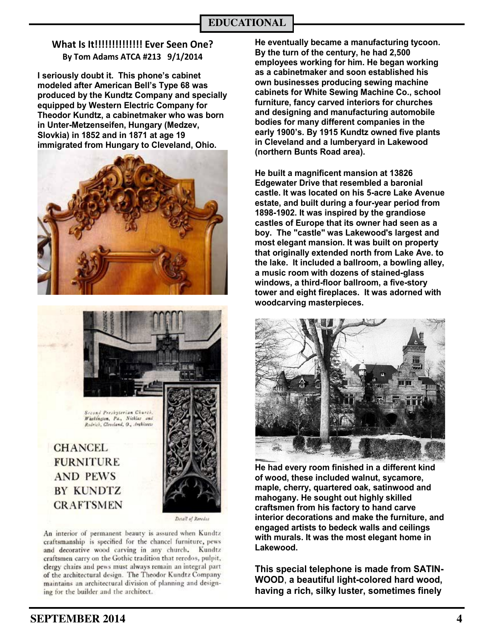### **What Is It!!!!!!!!!!!!!! Ever Seen One? By Tom Adams ATCA #213 9/1/2014**

**I seriously doubt it. This phone's cabinet modeled after American Bell's Type 68 was produced by the Kundtz Company and specially equipped by Western Electric Company for Theodor Kundtz, a cabinetmaker who was born in Unter-Metzenseifen, Hungary (Medzev, Slovkia) in 1852 and in 1871 at age 19 immigrated from Hungary to Cleveland, Ohio.** 





Second Presbyterian Church. Washington, Pa., Nicklas and<br>Rodrich, Cleveland, O., Architects

## **CHANCEL FURNITURE AND PEWS BY KUNDTZ CRAFTSMEN**



Detail of Revedes

An interior of permanent beauty is assured when Kundtz craftsmanship is specified for the chancel furniture, pews and decorative wood carving in any church. Kundtz craftsmen carry on the Gothic tradition that reredos, pulpit, clergy chairs and pews must always remain an integral part of the architectural design. The Theodor Kundtz Company maintains an architectural division of planning and designing for the builder and the architect.

**He eventually became a manufacturing tycoon. By the turn of the century, he had 2,500 employees working for him. He began working as a cabinetmaker and soon established his own businesses producing sewing machine cabinets for White Sewing Machine Co., school furniture, fancy carved interiors for churches and designing and manufacturing automobile bodies for many different companies in the early 1900's. By 1915 Kundtz owned five plants in Cleveland and a lumberyard in Lakewood (northern Bunts Road area).**

**He built a magnificent mansion at 13826 Edgewater Drive that resembled a baronial castle. It was located on his 5-acre Lake Avenue estate, and built during a four-year period from 1898-1902. It was inspired by the grandiose castles of Europe that its owner had seen as a boy. The "castle" was Lakewood's largest and most elegant mansion. It was built on property that originally extended north from Lake Ave. to the lake. It included a ballroom, a bowling alley, a music room with dozens of stained-glass windows, a third-floor ballroom, a five-story tower and eight fireplaces. It was adorned with woodcarving masterpieces.**



**He had every room finished in a different kind of wood, these included walnut, sycamore, maple, cherry, quartered oak, satinwood and mahogany. He sought out highly skilled craftsmen from his factory to hand carve interior decorations and make the furniture, and engaged artists to bedeck walls and ceilings with murals. It was the most elegant home in Lakewood.** 

**This special telephone is made from SATIN-WOOD**, **a beautiful light-colored hard wood, having a rich, silky luster, sometimes finely**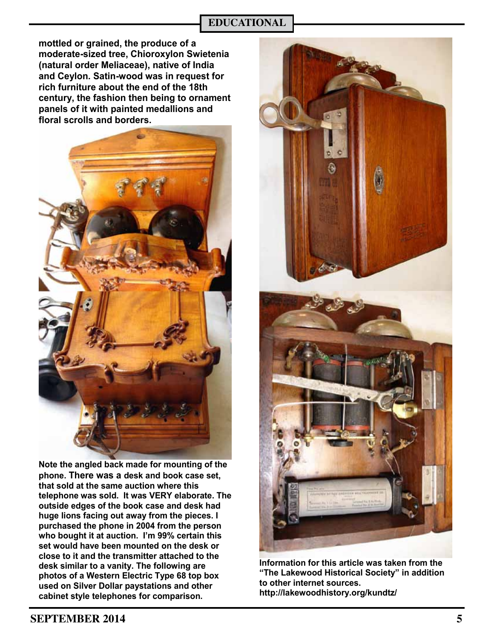### **EDUCATIONAL**

**mottled or grained, the produce of a moderate-sized tree, Chioroxylon Swietenia (natural order Meliaceae), native of India and Ceylon. Satin-wood was in request for rich furniture about the end of the 18th century, the fashion then being to ornament panels of it with painted medallions and floral scrolls and borders.**



**Note the angled back made for mounting of the phone. There was a desk and book case set, that sold at the same auction where this telephone was sold. It was VERY elaborate. The outside edges of the book case and desk had huge lions facing out away from the pieces. I purchased the phone in 2004 from the person who bought it at auction. I'm 99% certain this set would have been mounted on the desk or close to it and the transmitter attached to the desk similar to a vanity. The following are photos of a Western Electric Type 68 top box used on Silver Dollar paystations and other cabinet style telephones for comparison.**



**Information for this article was taken from the "The Lakewood Historical Society" in addition to other internet sources. http://lakewoodhistory.org/kundtz/**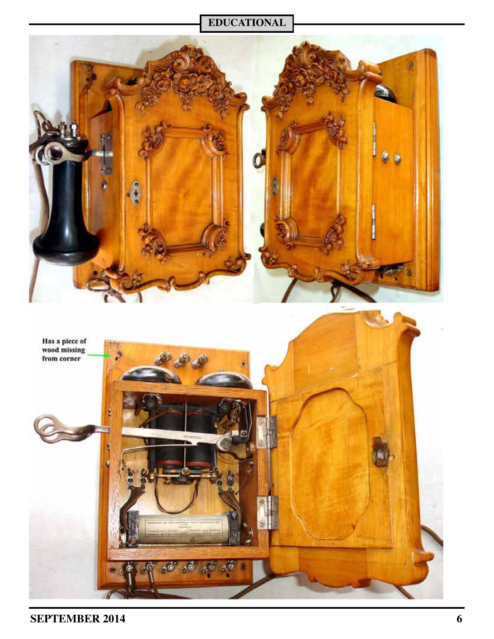## **EDUCATIONAL**

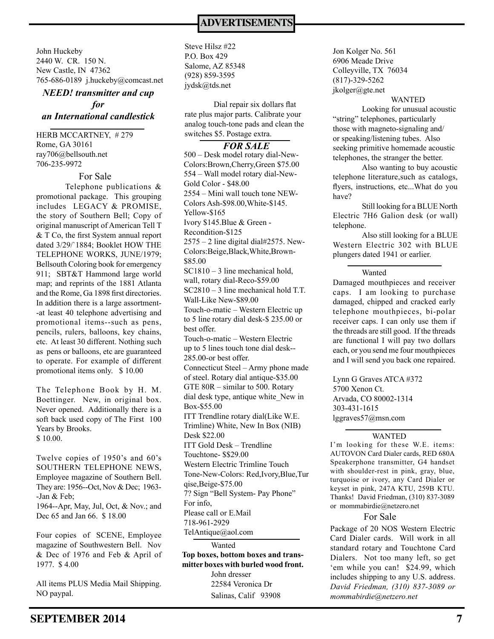John Huckeby 2440 W. CR. 150 N. New Castle, IN 47362 765-686-0189 j.huckeby@comcast.net

### *NEED! transmitter and cup for an International candlestick*

HERB MCCARTNEY, # 279 Rome, GA 30161 ray706@bellsouth.net 706-235-9972

For Sale

Telephone publications & promotional package. This grouping includes LEGACY & PROMISE, the story of Southern Bell; Copy of original manuscript of American Tell T & T Co, the first System annual report dated 3/29/`1884; Booklet HOW THE TELEPHONE WORKS, JUNE/1979; Bellsouth Coloring book for emergency 911; SBT&T Hammond large world map; and reprints of the 1881 Atlanta and the Rome, Ga 1898 first directories. In addition there is a large assortment- -at least 40 telephone advertising and promotional items--such as pens, pencils, rulers, balloons, key chains, etc. At least 30 different. Nothing such as pens or balloons, etc are guaranteed to operate. For example of different promotional items only. \$ 10.00

The Telephone Book by H. M. Boettinger. New, in original box. Never opened. Additionally there is a soft back used copy of The First 100 Years by Brooks. \$ 10.00.

Twelve copies of 1950's and 60's SOUTHERN TELEPHONE NEWS, Employee magazine of Southern Bell. They are: 1956--Oct, Nov & Dec; 1963- -Jan & Feb; 1964--Apr, May, Jul, Oct, & Nov.; and

Dec 65 and Jan 66. \$ 18.00

Four copies of SCENE, Employee magazine of Southwestern Bell. Nov & Dec of 1976 and Feb & April of 1977. \$ 4.00

All items PLUS Media Mail Shipping. NO paypal.

Steve Hilsz #22 P.O. Box 429 Salome, AZ 85348 (928) 859-3595 jydsk@tds.net

Dial repair six dollars flat rate plus major parts. Calibrate your analog touch-tone pads and clean the switches \$5. Postage extra.

#### *FOR SALE*

Wanted 500 – Desk model rotary dial-New-Colors:Brown,Cherry,Green \$75.00 554 – Wall model rotary dial-New-Gold Color - \$48.00 2554 – Mini wall touch tone NEW-Colors Ash-\$98.00,White-\$145. Yellow-\$165 Ivory \$145.Blue & Green - Recondition-\$125  $2575 - 2$  line digital dial#2575. New-Colors:Beige,Black,White,Brown- \$85.00 SC1810 – 3 line mechanical hold, wall, rotary dial-Reco-\$59.00 SC2810 – 3 line mechanical hold T.T. Wall-Like New-\$89.00 Touch-o-matic – Western Electric up to 5 line rotary dial desk-\$ 235.00 or best offer. Touch-o-matic – Western Electric up to 5 lines touch tone dial desk-- 285.00-or best offer. Connecticut Steel – Army phone made of steel. Rotary dial antique-\$35.00 GTE 80R – similar to 500. Rotary dial desk type, antique white\_New in Box-\$55.00 ITT Trendline rotary dial(Like W.E. Trimline) White, New In Box (NIB) Desk \$22.00 ITT Gold Desk – Trendline Touchtone- \$\$29.00 Western Electric Trimline Touch Tone-New-Colors: Red,Ivory,Blue,Tur qise,Beige-\$75.00 7? Sign "Bell System- Pay Phone" For info, Please call or E.Mail 718-961-2929 TelAntique@aol.com

**Top boxes, bottom boxes and transmitter boxes with burled wood front.**

John dresser 22584 Veronica Dr Salinas, Calif 93908 Jon Kolger No. 561 6906 Meade Drive Colleyville, TX 76034 (817)-329-5262 jkolger@gte.net

#### WANTED

Looking for unusual acoustic "string" telephones, particularly those with magneto-signaling and/ or speaking/listening tubes. Also seeking primitive homemade acoustic telephones, the stranger the better.

Also wanting to buy acoustic telephone literature,such as catalogs, flyers, instructions, etc...What do you have?

Still looking for a BLUE North Electric 7H6 Galion desk (or wall) telephone.

Also still looking for a BLUE Western Electric 302 with BLUE plungers dated 1941 or earlier.

#### Wanted

Damaged mouthpieces and receiver caps. I am looking to purchase damaged, chipped and cracked early telephone mouthpieces, bi-polar receiver caps. I can only use them if the threads are still good. If the threads are functional I will pay two dollars each, or you send me four mouthpieces and I will send you back one repaired.

Lynn G Graves ATCA #372 5700 Xenon Ct. Arvada, CO 80002-1314 303-431-1615 lggraves57@msn.com

#### WANTED

I'm looking for these W.E. items: AUTOVON Card Dialer cards, RED 680A Speakerphone transmitter, G4 handset with shoulder-rest in pink, gray, blue, turquoise or ivory, any Card Dialer or keyset in pink, 247A KTU, 259B KTU. Thanks! David Friedman, (310) 837-3089 or mommabirdie@netzero.net

### For Sale

Package of 20 NOS Western Electric Card Dialer cards. Will work in all standard rotary and Touchtone Card Dialers. Not too many left, so get 'em while you can! \$24.99, which includes shipping to any U.S. address. *David Friedman, (310) 837-3089 or mommabirdie@netzero.net*